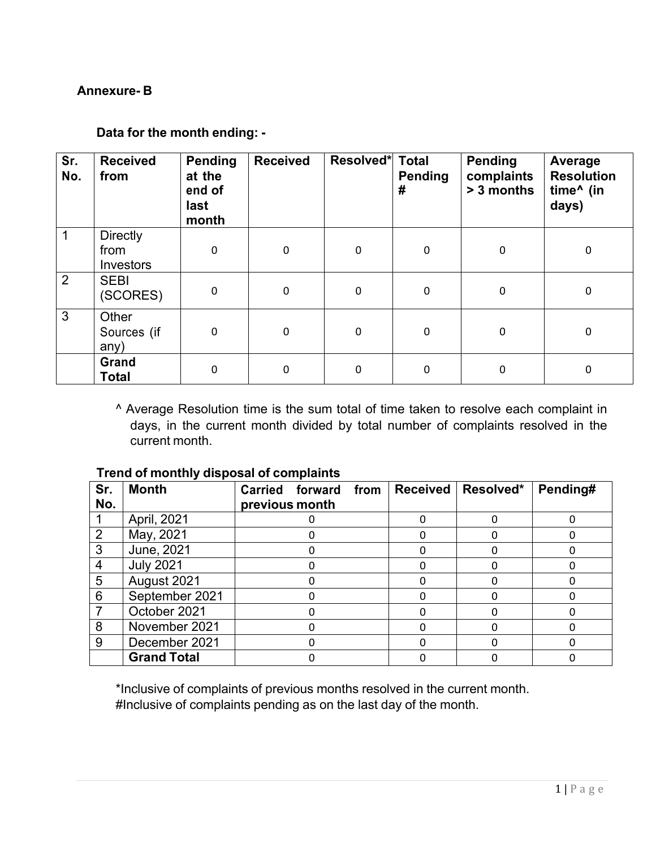## **Annexure- B**

## **Data for the month ending: -**

| Sr.<br>No.     | <b>Received</b><br>from              | <b>Pending</b><br>at the<br>end of<br>last<br>month | <b>Received</b> | Resolved* Total | <b>Pending</b><br># | <b>Pending</b><br>complaints<br>> 3 months | Average<br><b>Resolution</b><br>time^ (in<br>days) |
|----------------|--------------------------------------|-----------------------------------------------------|-----------------|-----------------|---------------------|--------------------------------------------|----------------------------------------------------|
| 1              | <b>Directly</b><br>from<br>Investors | $\mathbf 0$                                         | 0               | $\mathbf 0$     | $\mathbf 0$         | $\mathbf 0$                                | $\mathbf 0$                                        |
| $\overline{2}$ | <b>SEBI</b><br>(SCORES)              | $\pmb{0}$                                           | 0               | $\mathbf 0$     | $\mathbf 0$         | 0                                          | $\pmb{0}$                                          |
| 3              | Other<br>Sources (if<br>any)         | $\mathbf 0$                                         | 0               | $\mathbf 0$     | $\mathbf 0$         | $\mathbf 0$                                | $\mathbf 0$                                        |
|                | Grand<br><b>Total</b>                | $\mathbf 0$                                         | 0               | $\mathbf 0$     | $\mathbf 0$         | 0                                          | $\mathbf 0$                                        |

^ Average Resolution time is the sum total of time taken to resolve each complaint in days, in the current month divided by total number of complaints resolved in the current month.

| Sr.            | <b>Month</b>       | Carried forward<br>from | <b>Received</b> | Resolved* | Pending# |
|----------------|--------------------|-------------------------|-----------------|-----------|----------|
| No.            |                    | previous month          |                 |           |          |
|                | April, 2021        |                         |                 |           |          |
| 2              | May, 2021          |                         |                 |           |          |
| 3              | June, 2021         |                         |                 |           |          |
| $\overline{4}$ | <b>July 2021</b>   |                         |                 |           |          |
| 5              | August 2021        |                         |                 |           |          |
| 6              | September 2021     |                         |                 |           |          |
|                | October 2021       |                         |                 |           |          |
| 8              | November 2021      |                         |                 |           |          |
| 9              | December 2021      |                         |                 |           |          |
|                | <b>Grand Total</b> |                         |                 |           |          |

## **Trend of monthly disposal of complaints**

\*Inclusive of complaints of previous months resolved in the current month. #Inclusive of complaints pending as on the last day of the month.